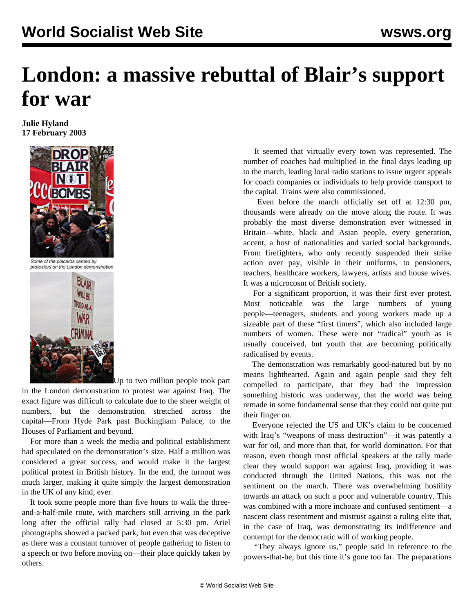## **London: a massive rebuttal of Blair's support for war**

**Julie Hyland 17 February 2003**



Some of the placards carried by protesters on the London demonstration



Up to two million people took part

in the London demonstration to protest war against Iraq. The exact figure was difficult to calculate due to the sheer weight of numbers, but the demonstration stretched across the capital—From Hyde Park past Buckingham Palace, to the Houses of Parliament and beyond.

 For more than a week the media and political establishment had speculated on the demonstration's size. Half a million was considered a great success, and would make it the largest political protest in British history. In the end, the turnout was much larger, making it quite simply the largest demonstration in the UK of any kind, ever.

 It took some people more than five hours to walk the threeand-a-half-mile route, with marchers still arriving in the park long after the official rally had closed at 5:30 pm. Ariel photographs showed a packed park, but even that was deceptive as there was a constant turnover of people gathering to listen to a speech or two before moving on—their place quickly taken by others.

 It seemed that virtually every town was represented. The number of coaches had multiplied in the final days leading up to the march, leading local radio stations to issue urgent appeals for coach companies or individuals to help provide transport to the capital. Trains were also commissioned.

 Even before the march officially set off at 12:30 pm, thousands were already on the move along the route. It was probably the most diverse demonstration ever witnessed in Britain—white, black and Asian people, every generation, accent, a host of nationalities and varied social backgrounds. From firefighters, who only recently suspended their strike action over pay, visible in their uniforms, to pensioners, teachers, healthcare workers, lawyers, artists and house wives. It was a microcosm of British society.

 For a significant proportion, it was their first ever protest. Most noticeable was the large numbers of young people—teenagers, students and young workers made up a sizeable part of these "first timers", which also included large numbers of women. These were not "radical" youth as is usually conceived, but youth that are becoming politically radicalised by events.

 The demonstration was remarkably good-natured but by no means lighthearted. Again and again people said they felt compelled to participate, that they had the impression something historic was underway, that the world was being remade in some fundamental sense that they could not quite put their finger on.

 Everyone rejected the US and UK's claim to be concerned with Iraq's "weapons of mass destruction"—it was patently a war for oil, and more than that, for world domination. For that reason, even though most official speakers at the rally made clear they would support war against Iraq, providing it was conducted through the United Nations, this was not the sentiment on the march. There was overwhelming hostility towards an attack on such a poor and vulnerable country. This was combined with a more inchoate and confused sentiment—a nascent class resentment and mistrust against a ruling elite that, in the case of Iraq, was demonstrating its indifference and contempt for the democratic will of working people.

 "They always ignore us," people said in reference to the powers-that-be, but this time it's gone too far. The preparations